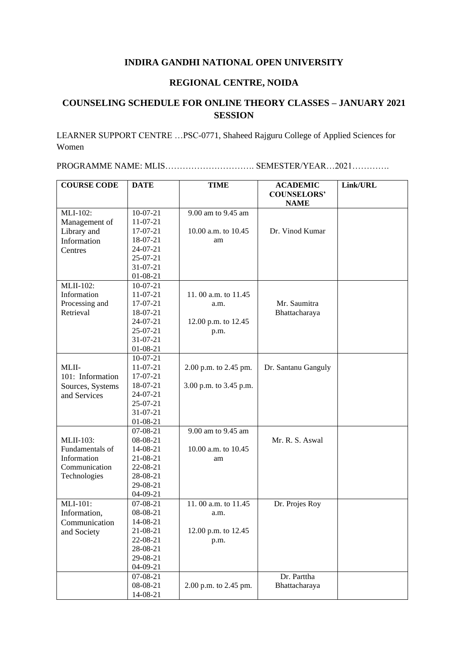## **INDIRA GANDHI NATIONAL OPEN UNIVERSITY**

## **REGIONAL CENTRE, NOIDA**

## **COUNSELING SCHEDULE FOR ONLINE THEORY CLASSES – JANUARY 2021 SESSION**

LEARNER SUPPORT CENTRE …PSC-0771, Shaheed Rajguru College of Applied Sciences for Women

PROGRAMME NAME: MLIS…………………………. SEMESTER/YEAR…2021………….

| <b>COURSE CODE</b> | <b>DATE</b>    | <b>TIME</b>            | <b>ACADEMIC</b>     | Link/URL |
|--------------------|----------------|------------------------|---------------------|----------|
|                    |                |                        | <b>COUNSELORS'</b>  |          |
|                    |                |                        | <b>NAME</b>         |          |
| MLI-102:           | $10-07-21$     | 9.00 am to 9.45 am     |                     |          |
| Management of      | $11-07-21$     |                        |                     |          |
| Library and        | $17-07-21$     | 10.00 a.m. to $10.45$  | Dr. Vinod Kumar     |          |
| Information        | 18-07-21       | am                     |                     |          |
| Centres            | 24-07-21       |                        |                     |          |
|                    | $25-07-21$     |                        |                     |          |
|                    | $31 - 07 - 21$ |                        |                     |          |
|                    | $01-08-21$     |                        |                     |          |
| <b>MLII-102:</b>   | $10-07-21$     |                        |                     |          |
| Information        | $11-07-21$     | 11.00 a.m. to 11.45    |                     |          |
| Processing and     | $17-07-21$     | a.m.                   | Mr. Saumitra        |          |
| Retrieval          | 18-07-21       |                        | Bhattacharaya       |          |
|                    | 24-07-21       | 12.00 p.m. to 12.45    |                     |          |
|                    | $25-07-21$     | p.m.                   |                     |          |
|                    | $31 - 07 - 21$ |                        |                     |          |
|                    | $01 - 08 - 21$ |                        |                     |          |
|                    | $10-07-21$     |                        |                     |          |
| MLII-              | $11-07-21$     | 2.00 p.m. to 2.45 pm.  | Dr. Santanu Ganguly |          |
| 101: Information   | 17-07-21       |                        |                     |          |
| Sources, Systems   | 18-07-21       | 3.00 p.m. to 3.45 p.m. |                     |          |
| and Services       | 24-07-21       |                        |                     |          |
|                    | 25-07-21       |                        |                     |          |
|                    | 31-07-21       |                        |                     |          |
|                    | $01-08-21$     |                        |                     |          |
|                    | $07 - 08 - 21$ | 9.00 am to 9.45 am     |                     |          |
| <b>MLII-103:</b>   | 08-08-21       |                        | Mr. R. S. Aswal     |          |
| Fundamentals of    | 14-08-21       | 10.00 a.m. to 10.45    |                     |          |
| Information        | 21-08-21       | am                     |                     |          |
| Communication      | 22-08-21       |                        |                     |          |
| Technologies       | 28-08-21       |                        |                     |          |
|                    | 29-08-21       |                        |                     |          |
|                    | $04-09-21$     |                        |                     |          |
| MLI-101:           | $07 - 08 - 21$ | 11.00 a.m. to 11.45    | Dr. Projes Roy      |          |
| Information,       | 08-08-21       | a.m.                   |                     |          |
| Communication      | 14-08-21       |                        |                     |          |
| and Society        | 21-08-21       | 12.00 p.m. to 12.45    |                     |          |
|                    | 22-08-21       | p.m.                   |                     |          |
|                    | 28-08-21       |                        |                     |          |
|                    | 29-08-21       |                        |                     |          |
|                    | $04 - 09 - 21$ |                        |                     |          |
|                    | 07-08-21       |                        | Dr. Parttha         |          |
|                    | 08-08-21       | 2.00 p.m. to 2.45 pm.  | Bhattacharaya       |          |
|                    | 14-08-21       |                        |                     |          |